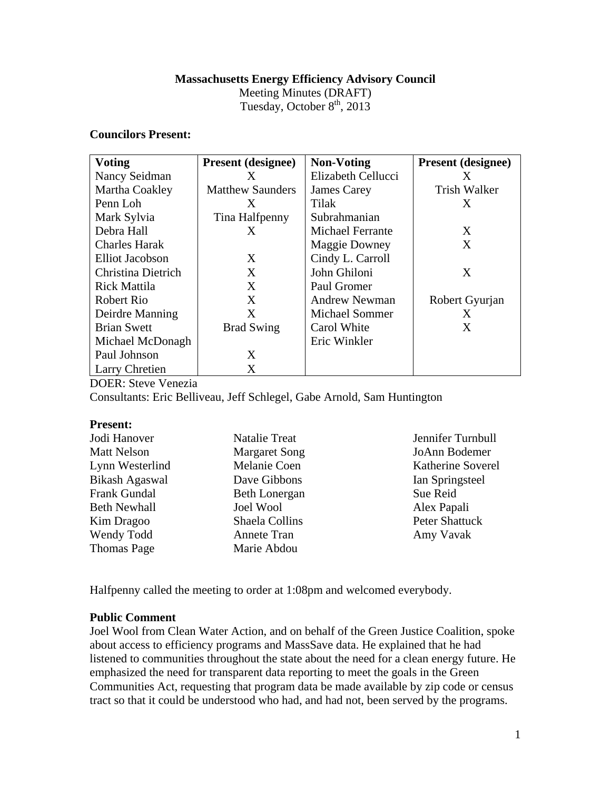### **Massachusetts Energy Efficiency Advisory Council**

Meeting Minutes (DRAFT) Tuesday, October  $8<sup>th</sup>$ , 2013

### **Councilors Present:**

| <b>Voting</b>          | <b>Present</b> (designee) | <b>Non-Voting</b>       | <b>Present</b> (designee) |
|------------------------|---------------------------|-------------------------|---------------------------|
| Nancy Seidman          | X                         | Elizabeth Cellucci      | X                         |
| Martha Coakley         | <b>Matthew Saunders</b>   | <b>James Carey</b>      | <b>Trish Walker</b>       |
| Penn Loh               | X                         | Tilak                   | X                         |
| Mark Sylvia            | Tina Halfpenny            | Subrahmanian            |                           |
| Debra Hall             | X                         | <b>Michael Ferrante</b> | X                         |
| <b>Charles Harak</b>   |                           | <b>Maggie Downey</b>    | X                         |
| <b>Elliot Jacobson</b> | X                         | Cindy L. Carroll        |                           |
| Christina Dietrich     | X                         | John Ghiloni            | X                         |
| <b>Rick Mattila</b>    | X                         | Paul Gromer             |                           |
| Robert Rio             | X                         | <b>Andrew Newman</b>    | Robert Gyurjan            |
| Deirdre Manning        | X                         | <b>Michael Sommer</b>   | X                         |
| <b>Brian Swett</b>     | <b>Brad Swing</b>         | Carol White             | X                         |
| Michael McDonagh       |                           | Eric Winkler            |                           |
| Paul Johnson           | X                         |                         |                           |
| Larry Chretien         | X                         |                         |                           |

DOER: Steve Venezia

Consultants: Eric Belliveau, Jeff Schlegel, Gabe Arnold, Sam Huntington

#### **Present:**

| Jodi Hanover          | <b>Natalie Treat</b> | Jennifer Turnbull |
|-----------------------|----------------------|-------------------|
| <b>Matt Nelson</b>    | <b>Margaret Song</b> | JoAnn Bodemer     |
| Lynn Westerlind       | Melanie Coen         | Katherine Soverel |
| <b>Bikash Agaswal</b> | Dave Gibbons         | Ian Springsteel   |
| <b>Frank Gundal</b>   | <b>Beth Lonergan</b> | Sue Reid          |
| <b>Beth Newhall</b>   | <b>Joel Wool</b>     | Alex Papali       |
| Kim Dragoo            | Shaela Collins       | Peter Shattuck    |
| Wendy Todd            | Annete Tran          | Amy Vavak         |
| <b>Thomas Page</b>    | Marie Abdou          |                   |

Halfpenny called the meeting to order at 1:08pm and welcomed everybody.

## **Public Comment**

Joel Wool from Clean Water Action, and on behalf of the Green Justice Coalition, spoke about access to efficiency programs and MassSave data. He explained that he had listened to communities throughout the state about the need for a clean energy future. He emphasized the need for transparent data reporting to meet the goals in the Green Communities Act, requesting that program data be made available by zip code or census tract so that it could be understood who had, and had not, been served by the programs.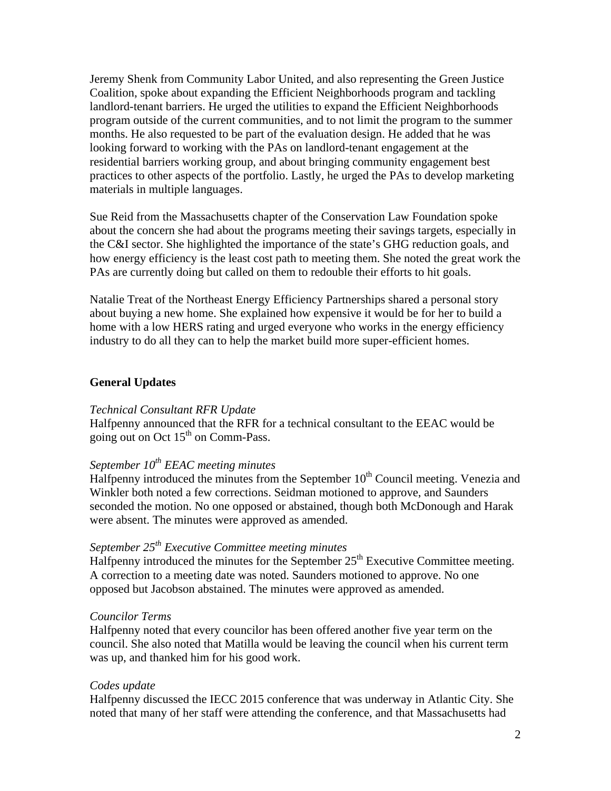Jeremy Shenk from Community Labor United, and also representing the Green Justice Coalition, spoke about expanding the Efficient Neighborhoods program and tackling landlord-tenant barriers. He urged the utilities to expand the Efficient Neighborhoods program outside of the current communities, and to not limit the program to the summer months. He also requested to be part of the evaluation design. He added that he was looking forward to working with the PAs on landlord-tenant engagement at the residential barriers working group, and about bringing community engagement best practices to other aspects of the portfolio. Lastly, he urged the PAs to develop marketing materials in multiple languages.

Sue Reid from the Massachusetts chapter of the Conservation Law Foundation spoke about the concern she had about the programs meeting their savings targets, especially in the C&I sector. She highlighted the importance of the state's GHG reduction goals, and how energy efficiency is the least cost path to meeting them. She noted the great work the PAs are currently doing but called on them to redouble their efforts to hit goals.

Natalie Treat of the Northeast Energy Efficiency Partnerships shared a personal story about buying a new home. She explained how expensive it would be for her to build a home with a low HERS rating and urged everyone who works in the energy efficiency industry to do all they can to help the market build more super-efficient homes.

## **General Updates**

#### *Technical Consultant RFR Update*

Halfpenny announced that the RFR for a technical consultant to the EEAC would be going out on Oct  $15<sup>th</sup>$  on Comm-Pass.

# *September 10th EEAC meeting minutes*

Halfpenny introduced the minutes from the September  $10<sup>th</sup>$  Council meeting. Venezia and Winkler both noted a few corrections. Seidman motioned to approve, and Saunders seconded the motion. No one opposed or abstained, though both McDonough and Harak were absent. The minutes were approved as amended.

## *September 25th Executive Committee meeting minutes*

Halfpenny introduced the minutes for the September  $25<sup>th</sup>$  Executive Committee meeting. A correction to a meeting date was noted. Saunders motioned to approve. No one opposed but Jacobson abstained. The minutes were approved as amended.

#### *Councilor Terms*

Halfpenny noted that every councilor has been offered another five year term on the council. She also noted that Matilla would be leaving the council when his current term was up, and thanked him for his good work.

## *Codes update*

Halfpenny discussed the IECC 2015 conference that was underway in Atlantic City. She noted that many of her staff were attending the conference, and that Massachusetts had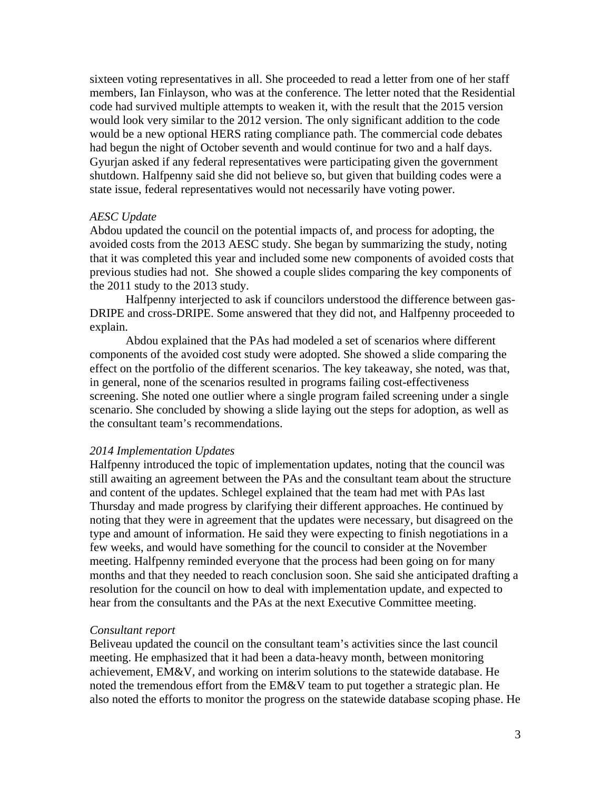sixteen voting representatives in all. She proceeded to read a letter from one of her staff members, Ian Finlayson, who was at the conference. The letter noted that the Residential code had survived multiple attempts to weaken it, with the result that the 2015 version would look very similar to the 2012 version. The only significant addition to the code would be a new optional HERS rating compliance path. The commercial code debates had begun the night of October seventh and would continue for two and a half days. Gyurjan asked if any federal representatives were participating given the government shutdown. Halfpenny said she did not believe so, but given that building codes were a state issue, federal representatives would not necessarily have voting power.

#### *AESC Update*

Abdou updated the council on the potential impacts of, and process for adopting, the avoided costs from the 2013 AESC study. She began by summarizing the study, noting that it was completed this year and included some new components of avoided costs that previous studies had not. She showed a couple slides comparing the key components of the 2011 study to the 2013 study.

 Halfpenny interjected to ask if councilors understood the difference between gas-DRIPE and cross-DRIPE. Some answered that they did not, and Halfpenny proceeded to explain.

Abdou explained that the PAs had modeled a set of scenarios where different components of the avoided cost study were adopted. She showed a slide comparing the effect on the portfolio of the different scenarios. The key takeaway, she noted, was that, in general, none of the scenarios resulted in programs failing cost-effectiveness screening. She noted one outlier where a single program failed screening under a single scenario. She concluded by showing a slide laying out the steps for adoption, as well as the consultant team's recommendations.

#### *2014 Implementation Updates*

Halfpenny introduced the topic of implementation updates, noting that the council was still awaiting an agreement between the PAs and the consultant team about the structure and content of the updates. Schlegel explained that the team had met with PAs last Thursday and made progress by clarifying their different approaches. He continued by noting that they were in agreement that the updates were necessary, but disagreed on the type and amount of information. He said they were expecting to finish negotiations in a few weeks, and would have something for the council to consider at the November meeting. Halfpenny reminded everyone that the process had been going on for many months and that they needed to reach conclusion soon. She said she anticipated drafting a resolution for the council on how to deal with implementation update, and expected to hear from the consultants and the PAs at the next Executive Committee meeting.

#### *Consultant report*

Beliveau updated the council on the consultant team's activities since the last council meeting. He emphasized that it had been a data-heavy month, between monitoring achievement, EM&V, and working on interim solutions to the statewide database. He noted the tremendous effort from the EM&V team to put together a strategic plan. He also noted the efforts to monitor the progress on the statewide database scoping phase. He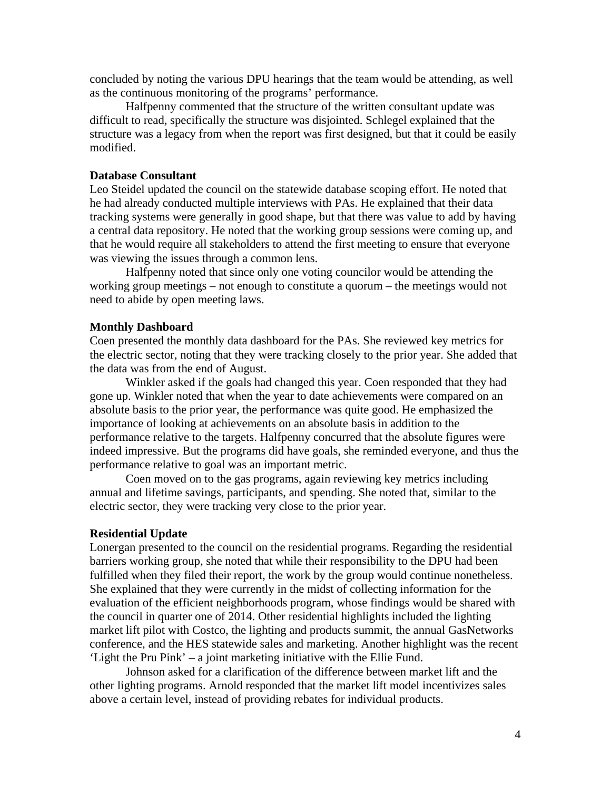concluded by noting the various DPU hearings that the team would be attending, as well as the continuous monitoring of the programs' performance.

 Halfpenny commented that the structure of the written consultant update was difficult to read, specifically the structure was disjointed. Schlegel explained that the structure was a legacy from when the report was first designed, but that it could be easily modified.

## **Database Consultant**

Leo Steidel updated the council on the statewide database scoping effort. He noted that he had already conducted multiple interviews with PAs. He explained that their data tracking systems were generally in good shape, but that there was value to add by having a central data repository. He noted that the working group sessions were coming up, and that he would require all stakeholders to attend the first meeting to ensure that everyone was viewing the issues through a common lens.

 Halfpenny noted that since only one voting councilor would be attending the working group meetings – not enough to constitute a quorum – the meetings would not need to abide by open meeting laws.

#### **Monthly Dashboard**

Coen presented the monthly data dashboard for the PAs. She reviewed key metrics for the electric sector, noting that they were tracking closely to the prior year. She added that the data was from the end of August.

Winkler asked if the goals had changed this year. Coen responded that they had gone up. Winkler noted that when the year to date achievements were compared on an absolute basis to the prior year, the performance was quite good. He emphasized the importance of looking at achievements on an absolute basis in addition to the performance relative to the targets. Halfpenny concurred that the absolute figures were indeed impressive. But the programs did have goals, she reminded everyone, and thus the performance relative to goal was an important metric.

Coen moved on to the gas programs, again reviewing key metrics including annual and lifetime savings, participants, and spending. She noted that, similar to the electric sector, they were tracking very close to the prior year.

#### **Residential Update**

Lonergan presented to the council on the residential programs. Regarding the residential barriers working group, she noted that while their responsibility to the DPU had been fulfilled when they filed their report, the work by the group would continue nonetheless. She explained that they were currently in the midst of collecting information for the evaluation of the efficient neighborhoods program, whose findings would be shared with the council in quarter one of 2014. Other residential highlights included the lighting market lift pilot with Costco, the lighting and products summit, the annual GasNetworks conference, and the HES statewide sales and marketing. Another highlight was the recent 'Light the Pru Pink' – a joint marketing initiative with the Ellie Fund.

 Johnson asked for a clarification of the difference between market lift and the other lighting programs. Arnold responded that the market lift model incentivizes sales above a certain level, instead of providing rebates for individual products.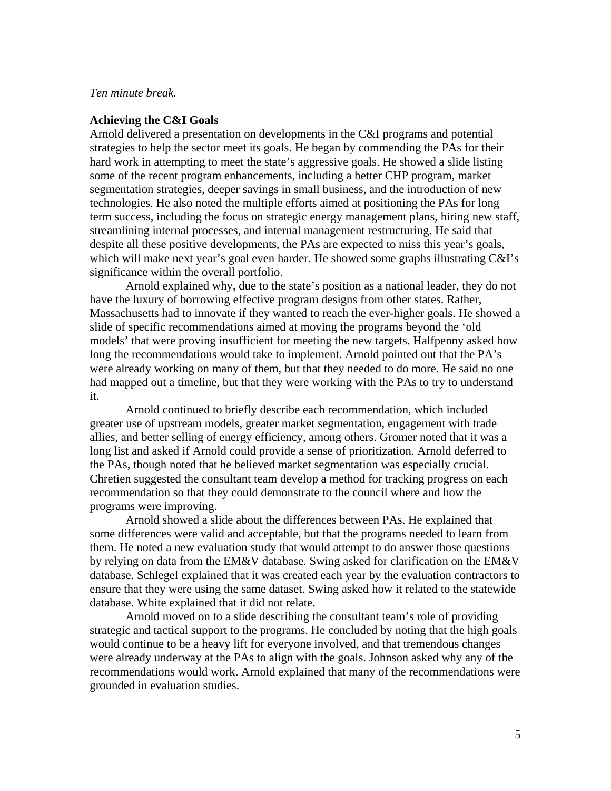### *Ten minute break.*

### **Achieving the C&I Goals**

Arnold delivered a presentation on developments in the C&I programs and potential strategies to help the sector meet its goals. He began by commending the PAs for their hard work in attempting to meet the state's aggressive goals. He showed a slide listing some of the recent program enhancements, including a better CHP program, market segmentation strategies, deeper savings in small business, and the introduction of new technologies. He also noted the multiple efforts aimed at positioning the PAs for long term success, including the focus on strategic energy management plans, hiring new staff, streamlining internal processes, and internal management restructuring. He said that despite all these positive developments, the PAs are expected to miss this year's goals, which will make next year's goal even harder. He showed some graphs illustrating C&I's significance within the overall portfolio.

 Arnold explained why, due to the state's position as a national leader, they do not have the luxury of borrowing effective program designs from other states. Rather, Massachusetts had to innovate if they wanted to reach the ever-higher goals. He showed a slide of specific recommendations aimed at moving the programs beyond the 'old models' that were proving insufficient for meeting the new targets. Halfpenny asked how long the recommendations would take to implement. Arnold pointed out that the PA's were already working on many of them, but that they needed to do more. He said no one had mapped out a timeline, but that they were working with the PAs to try to understand it.

Arnold continued to briefly describe each recommendation, which included greater use of upstream models, greater market segmentation, engagement with trade allies, and better selling of energy efficiency, among others. Gromer noted that it was a long list and asked if Arnold could provide a sense of prioritization. Arnold deferred to the PAs, though noted that he believed market segmentation was especially crucial. Chretien suggested the consultant team develop a method for tracking progress on each recommendation so that they could demonstrate to the council where and how the programs were improving.

Arnold showed a slide about the differences between PAs. He explained that some differences were valid and acceptable, but that the programs needed to learn from them. He noted a new evaluation study that would attempt to do answer those questions by relying on data from the EM&V database. Swing asked for clarification on the EM&V database. Schlegel explained that it was created each year by the evaluation contractors to ensure that they were using the same dataset. Swing asked how it related to the statewide database. White explained that it did not relate.

Arnold moved on to a slide describing the consultant team's role of providing strategic and tactical support to the programs. He concluded by noting that the high goals would continue to be a heavy lift for everyone involved, and that tremendous changes were already underway at the PAs to align with the goals. Johnson asked why any of the recommendations would work. Arnold explained that many of the recommendations were grounded in evaluation studies.